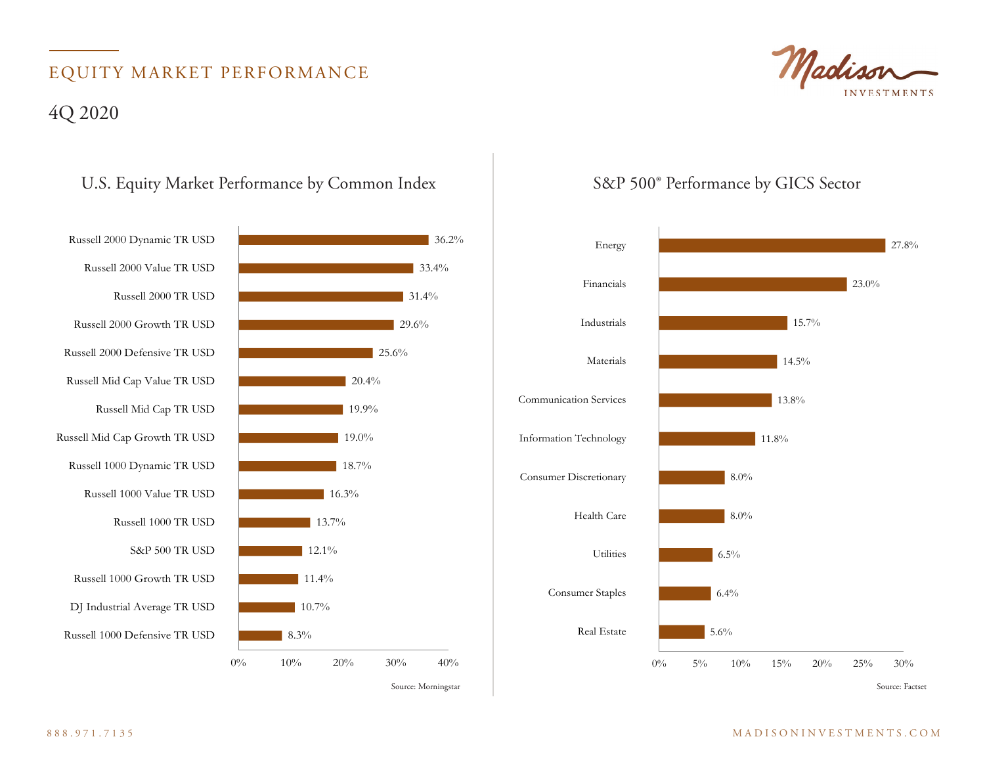## EQUITY MARKET PERFORMANCE 4Q 2020

#### U.S. Equity Market Performance by Common Index S&P 500° Performance by GICS Sector



33.4%

 $36.2\%$ 



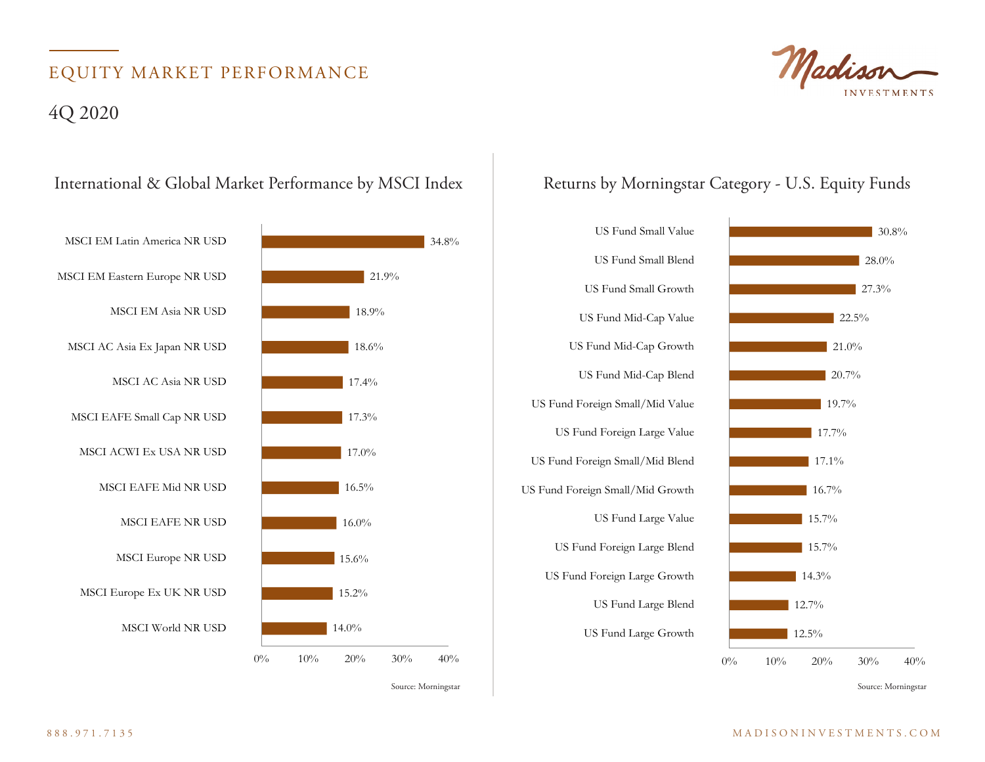# EQUITY MARKET PERFORMANCE

### 4Q 2020



Source: Morningstar Source: Morningstar Source: Morningstar Source: Morningstar Source: Morningstar Source: Morningstar





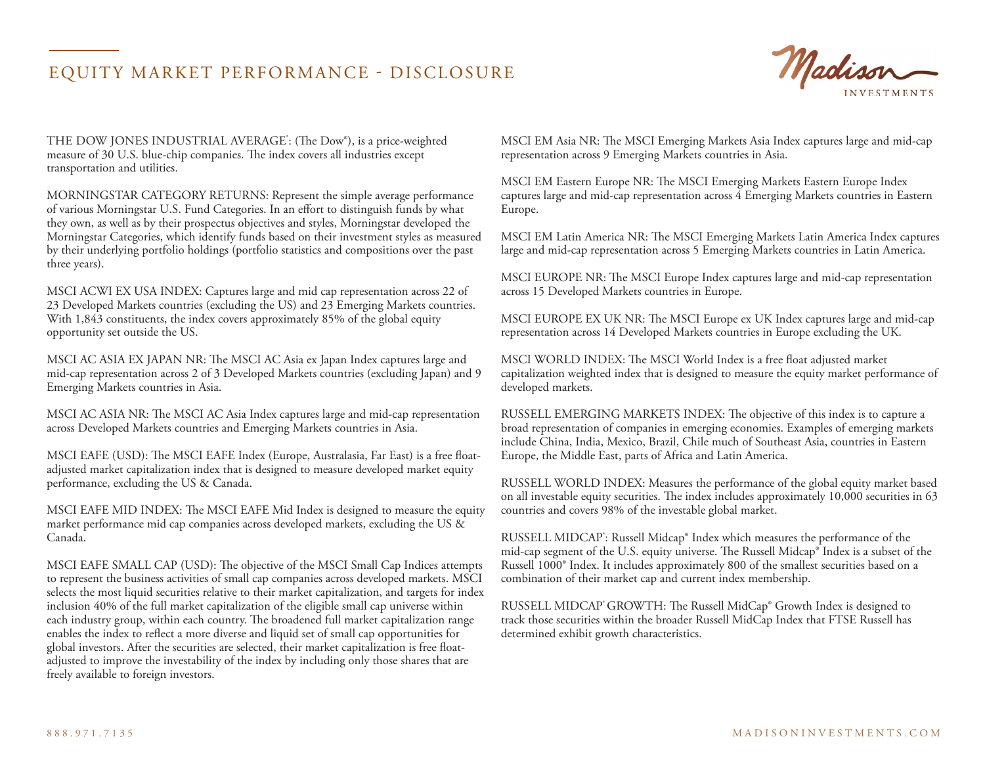#### EQUITY MARKET PERFORMANCE - DISCLOSURE



THE DOW JONES INDUSTRIAL AVERAGE<sup>\*</sup>: (The Dow®), is a price-weighted measure of 30 U.S. blue-chip companies. The index covers all industries except transportation and utilities.

MORNINGSTAR CATEGORY RETURNS: Represent the simple average performance of various Morningstar U.S. Fund Categories. In an effort to distinguish funds by what they own, as well as by their prospectus objectives and styles, Morningstar developed the Morningstar Categories, which identify funds based on their investment styles as measured by their underlying portfolio holdings (portfolio statistics and compositions over the past three years).

MSCI ACWI EX USA INDEX: Captures large and mid cap representation across 22 of 23 Developed Markets countries (excluding the US) and 23 Emerging Markets countries. With 1,843 constituents, the index covers approximately 85% of the global equity opportunity set outside the US.

MSCI AC ASIA EX JAPAN NR: The MSCI AC Asia ex Japan Index captures large and mid-cap representation across 2 of 3 Developed Markets countries (excluding Japan) and 9 Emerging Markets countries in Asia.

MSCI AC ASIA NR: The MSCI AC Asia Index captures large and mid-cap representation across Developed Markets countries and Emerging Markets countries in Asia.

MSCI EAFE (USD): The MSCI EAFE Index (Europe, Australasia, Far East) is a free floatadjusted market capitalization index that is designed to measure developed market equity performance, excluding the US & Canada.

MSCI EAFE MID INDEX: The MSCI EAFE Mid Index is designed to measure the equity market performance mid cap companies across developed markets, excluding the US  $\&$ Canada.

MSCI EAFE SMALL CAP (USD): The objective of the MSCI Small Cap Indices attempts to represent the business activities of small cap companies across developed markets. MSCI selects the most liquid securities relative to their market capitalization, and targets for index inclusion 40% of the full market capitalization of the eligible small cap universe within each industry group, within each country. The broadened full market capitalization range enables the index to reflect a more diverse and liquid set of small cap opportunities for global investors. After the securities are selected, their market capitalization is free floatadjusted to improve the investability of the index by including only those shares that are freely available to foreign investors.

MSCI EM Asia NR: The MSCI Emerging Markets Asia Index captures large and mid-cap representation across 9 Emerging Markets countries in Asia.

MSCI EM Eastern Europe NR: The MSCI Emerging Markets Eastern Europe Index captures large and mid-cap representation across 4 Emerging Markets countries in Eastern Europe.

MSCI EM Latin America NR: The MSCI Emerging Markets Latin America Index captures large and mid-cap representation across 5 Emerging Markets countries in Latin America.

MSCI EUROPE NR: The MSCI Europe Index captures large and mid-cap representation across 15 Developed Markets countries in Europe.

MSCI EUROPE EX UK NR: The MSCI Europe ex UK Index captures large and mid-cap representation across 14 Developed Markets countries in Europe excluding the UK.

MSCI WORLD INDEX: The MSCI World Index is a free float adjusted market capitalization weighted index that is designed to measure the equity market performance of developed markets.

RUSSELL EMERGING MARKETS INDEX: The objective of this index is to capture a broad representation of companies in emerging economies. Examples of emerging markets include China, India, Mexico, Brazil, Chile much of Southeast Asia, countries in Eastern Europe, the Middle East, parts of Africa and Latin America.

RUSSELL WORLD INDEX: Measures the performance of the global equity market based on all investable equity securities. The index includes approximately 10,000 securities in 63 countries and covers 98% of the investable global market.

RUSSELL MIDCAP<sup>\*</sup>: Russell Midcap® Index which measures the performance of the mid-cap segment of the U.S. equity universe. The Russell Midcap® Index is a subset of the Russell 1000® Index. It includes approximately 800 of the smallest securities based on a combination of their market cap and current index membership.

RUSSELL MIDCAP<sup>®</sup> GROWTH: The Russell MidCap<sup>®</sup> Growth Index is designed to track those securities within the broader Russell MidCap Index that FTSE Russell has determined exhibit growth characteristics.